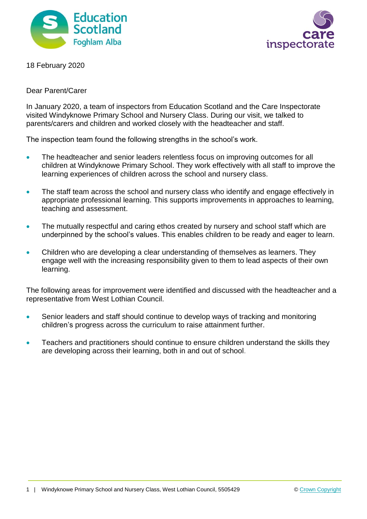



18 February 2020

#### Dear Parent/Carer

In January 2020, a team of inspectors from Education Scotland and the Care Inspectorate visited Windyknowe Primary School and Nursery Class. During our visit, we talked to parents/carers and children and worked closely with the headteacher and staff.

The inspection team found the following strengths in the school's work.

- The headteacher and senior leaders relentless focus on improving outcomes for all children at Windyknowe Primary School. They work effectively with all staff to improve the learning experiences of children across the school and nursery class.
- The staff team across the school and nursery class who identify and engage effectively in appropriate professional learning. This supports improvements in approaches to learning, teaching and assessment.
- The mutually respectful and caring ethos created by nursery and school staff which are underpinned by the school's values. This enables children to be ready and eager to learn.
- Children who are developing a clear understanding of themselves as learners. They engage well with the increasing responsibility given to them to lead aspects of their own learning.

The following areas for improvement were identified and discussed with the headteacher and a representative from West Lothian Council.

- Senior leaders and staff should continue to develop ways of tracking and monitoring children's progress across the curriculum to raise attainment further.
- Teachers and practitioners should continue to ensure children understand the skills they are developing across their learning, both in and out of school.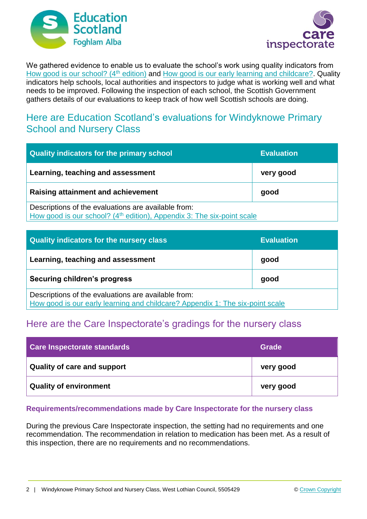



We gathered evidence to enable us to evaluate the school's work using quality indicators from [How good is our school? \(4](https://education.gov.scot/improvement/Documents/Frameworks_SelfEvaluation/FRWK2_NIHeditHGIOS/FRWK2_HGIOS4.pdf)<sup>th</sup> edition) and [How good is our early learning and childcare?.](https://education.gov.scot/improvement/Documents/Frameworks_SelfEvaluation/FRWK1_NIHeditSelf-evaluationHGIELC/HGIOELC020316Revised.pdf) Quality indicators help schools, local authorities and inspectors to judge what is working well and what needs to be improved. Following the inspection of each school, the Scottish Government gathers details of our evaluations to keep track of how well Scottish schools are doing.

## Here are Education Scotland's evaluations for Windyknowe Primary School and Nursery Class

| Quality indicators for the primary school                                                                                                 | <b>Evaluation</b> |
|-------------------------------------------------------------------------------------------------------------------------------------------|-------------------|
| Learning, teaching and assessment                                                                                                         | very good         |
| <b>Raising attainment and achievement</b>                                                                                                 | good              |
| Descriptions of the evaluations are available from:<br>How good is our school? (4 <sup>th</sup> edition), Appendix 3: The six-point scale |                   |

| Quality indicators for the nursery class                                                                                             | <b>Evaluation</b> |
|--------------------------------------------------------------------------------------------------------------------------------------|-------------------|
| Learning, teaching and assessment                                                                                                    | good              |
| Securing children's progress                                                                                                         | good              |
| Descriptions of the evaluations are available from:<br>How good is our early learning and childcare? Appendix 1: The six-point scale |                   |

# Here are the Care Inspectorate's gradings for the nursery class

| Care Inspectorate standards | Grade     |
|-----------------------------|-----------|
| Quality of care and support | very good |
| Quality of environment      | very good |

### **Requirements/recommendations made by Care Inspectorate for the nursery class**

During the previous Care Inspectorate inspection, the setting had no requirements and one recommendation. The recommendation in relation to medication has been met. As a result of this inspection, there are no requirements and no recommendations.